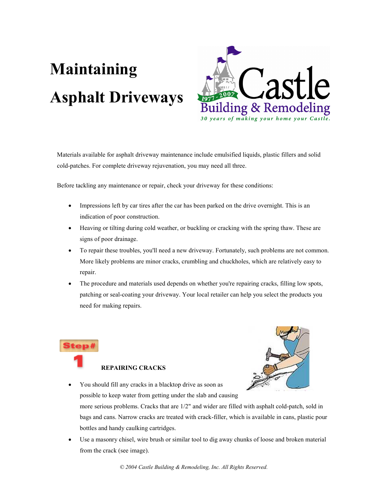# Maintaining Asphalt Driveways



Materials available for asphalt driveway maintenance include emulsified liquids, plastic fillers and solid cold-patches. For complete driveway rejuvenation, you may need all three.

Before tackling any maintenance or repair, check your driveway for these conditions:

- Impressions left by car tires after the car has been parked on the drive overnight. This is an indication of poor construction.
- Heaving or tilting during cold weather, or buckling or cracking with the spring thaw. These are signs of poor drainage.
- To repair these troubles, you'll need a new driveway. Fortunately, such problems are not common. More likely problems are minor cracks, crumbling and chuckholes, which are relatively easy to repair.
- The procedure and materials used depends on whether you're repairing cracks, filling low spots, patching or seal-coating your driveway. Your local retailer can help you select the products you need for making repairs.

#### **REPAIRING CRACKS**



• You should fill any cracks in a blacktop drive as soon as possible to keep water from getting under the slab and causing

more serious problems. Cracks that are 1/2" and wider are filled with asphalt cold-patch, sold in bags and cans. Narrow cracks are treated with crack-filler, which is available in cans, plastic pour bottles and handy caulking cartridges.

• Use a masonry chisel, wire brush or similar tool to dig away chunks of loose and broken material from the crack (see image).

© 2004 Castle Building & Remodeling, Inc. All Rights Reserved.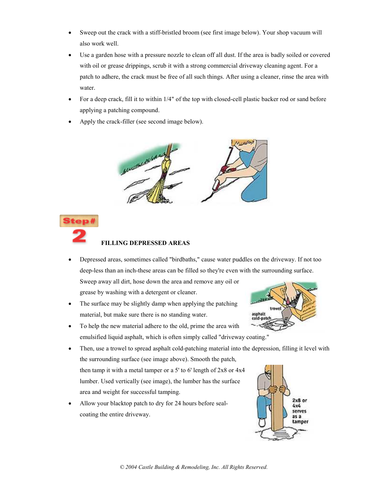- Sweep out the crack with a stiff-bristled broom (see first image below). Your shop vacuum will also work well.
- Use a garden hose with a pressure nozzle to clean off all dust. If the area is badly soiled or covered with oil or grease drippings, scrub it with a strong commercial driveway cleaning agent. For a patch to adhere, the crack must be free of all such things. After using a cleaner, rinse the area with water.
- For a deep crack, fill it to within 1/4" of the top with closed-cell plastic backer rod or sand before applying a patching compound.
- Apply the crack-filler (see second image below).



# Step#

## FILLIG DEPRESSED AREAS

• Depressed areas, sometimes called "birdbaths," cause water puddles on the driveway. If not too deep-less than an inch-these areas can be filled so they're even with the surrounding surface. Sweep away all dirt, hose down the area and remove any oil or

grease by washing with a detergent or cleaner.

• The surface may be slightly damp when applying the patching material, but make sure there is no standing water.



• To help the new material adhere to the old, prime the area with emulsified liquid asphalt, which is often simply called "driveway coating."

• Then, use a trowel to spread asphalt cold-patching material into the depression, filling it level with the surrounding surface (see image above). Smooth the patch, then tamp it with a metal tamper or a 5' to 6' length of  $2x8$  or  $4x4$ lumber. Used vertically (see image), the lumber has the surface area and weight for successful tamping.

Allow your blacktop patch to dry for 24 hours before sealcoating the entire driveway.



© 2004 Castle Building & Remodeling, Inc. All Rights Reserved.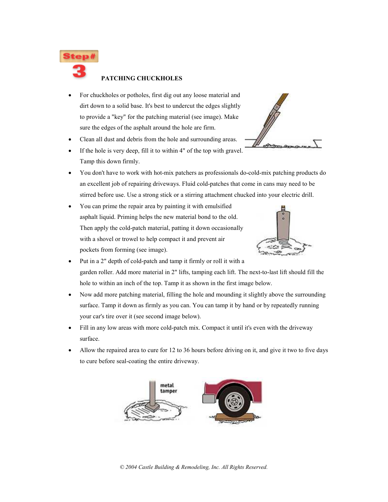

## PATCHING CHUCKHOLES

- For chuckholes or potholes, first dig out any loose material and dirt down to a solid base. It's best to undercut the edges slightly to provide a "key" for the patching material (see image). Make sure the edges of the asphalt around the hole are firm.
- Clean all dust and debris from the hole and surrounding areas.
- If the hole is very deep, fill it to within 4" of the top with gravel. Tamp this down firmly.



- You don't have to work with hot-mix patchers as professionals do-cold-mix patching products do an excellent job of repairing driveways. Fluid cold-patches that come in cans may need to be stirred before use. Use a strong stick or a stirring attachment chucked into your electric drill.
- You can prime the repair area by painting it with emulsified asphalt liquid. Priming helps the new material bond to the old. Then apply the cold-patch material, patting it down occasionally with a shovel or trowel to help compact it and prevent air pockets from forming (see image).



- Put in a 2" depth of cold-patch and tamp it firmly or roll it with a garden roller. Add more material in 2" lifts, tamping each lift. The next-to-last lift should fill the hole to within an inch of the top. Tamp it as shown in the first image below.
- Now add more patching material, filling the hole and mounding it slightly above the surrounding surface. Tamp it down as firmly as you can. You can tamp it by hand or by repeatedly running your car's tire over it (see second image below).
- Fill in any low areas with more cold-patch mix. Compact it until it's even with the driveway surface.
- Allow the repaired area to cure for 12 to 36 hours before driving on it, and give it two to five days to cure before seal-coating the entire driveway.



© 2004 Castle Building & Remodeling, Inc. All Rights Reserved.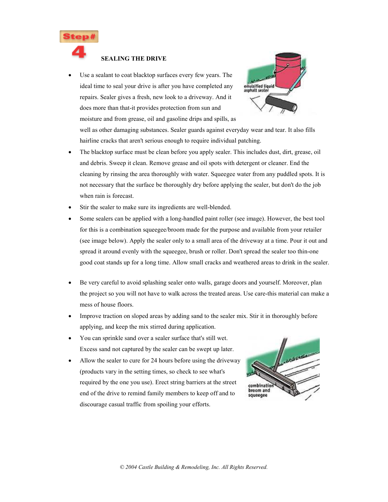

### **SEALING THE DRIVE**

Use a sealant to coat blacktop surfaces every few years. The ideal time to seal your drive is after you have completed any repairs. Sealer gives a fresh, new look to a driveway. And it does more than that-it provides protection from sun and moisture and from grease, oil and gasoline drips and spills, as



well as other damaging substances. Sealer guards against everyday wear and tear. It also fills hairline cracks that aren't serious enough to require individual patching.

- The blacktop surface must be clean before you apply sealer. This includes dust, dirt, grease, oil and debris. Sweep it clean. Remove grease and oil spots with detergent or cleaner. End the cleaning by rinsing the area thoroughly with water. Squeegee water from any puddled spots. It is not necessary that the surface be thoroughly dry before applying the sealer, but don't do the job when rain is forecast.
- Stir the sealer to make sure its ingredients are well-blended.
- Some sealers can be applied with a long-handled paint roller (see image). However, the best tool for this is a combination squeegee/broom made for the purpose and available from your retailer (see image below). Apply the sealer only to a small area of the driveway at a time. Pour it out and spread it around evenly with the squeegee, brush or roller. Don't spread the sealer too thin-one good coat stands up for a long time. Allow small cracks and weathered areas to drink in the sealer.
- Be very careful to avoid splashing sealer onto walls, garage doors and yourself. Moreover, plan the project so you will not have to walk across the treated areas. Use care-this material can make a mess of house floors.
- Improve traction on sloped areas by adding sand to the sealer mix. Stir it in thoroughly before applying, and keep the mix stirred during application.
- You can sprinkle sand over a sealer surface that's still wet. Excess sand not captured by the sealer can be swept up later.
- Allow the sealer to cure for 24 hours before using the driveway (products vary in the setting times, so check to see what's required by the one you use). Erect string barriers at the street end of the drive to remind family members to keep off and to discourage casual traffic from spoiling your efforts.